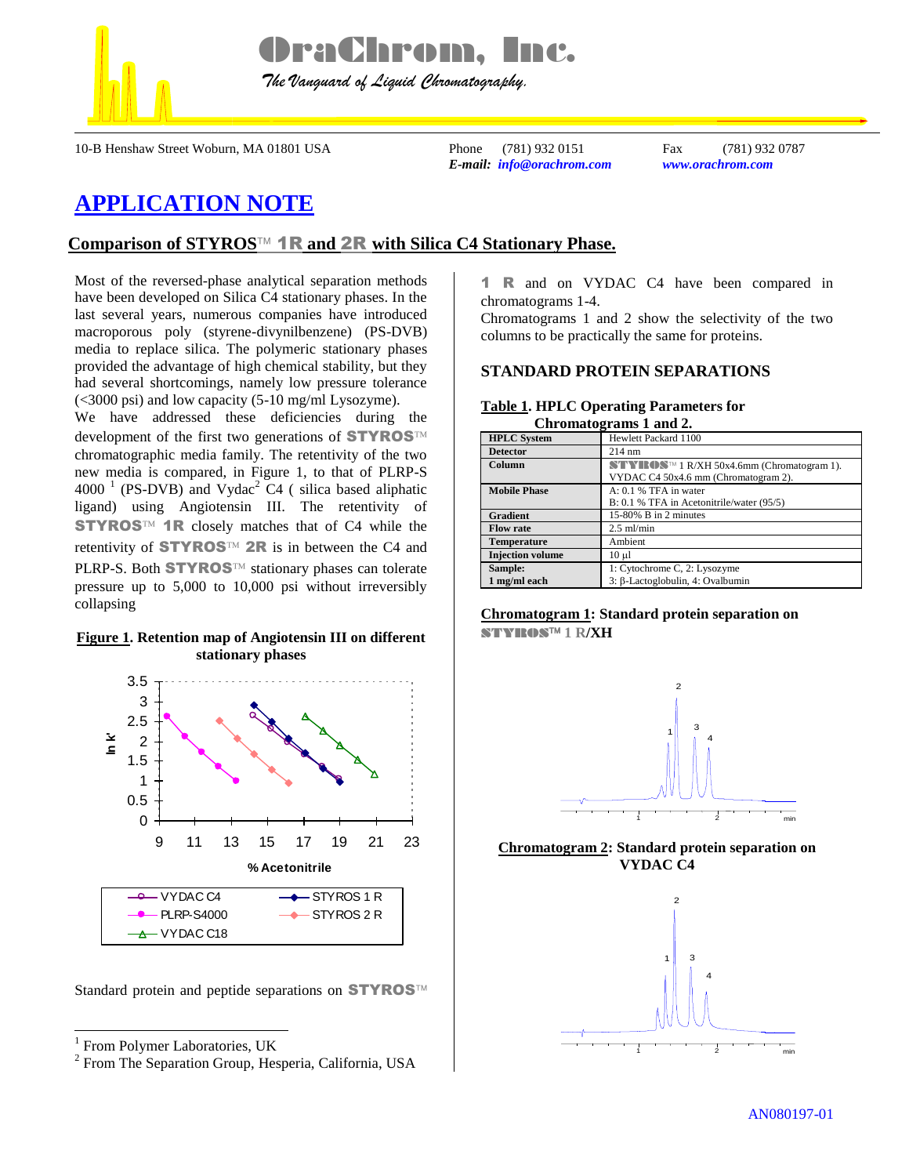



 *The Vanguard of Liquid Chromatography.*

10-B Henshaw Street Woburn, MA 01801 USA Phone (781) 932 0151 Fax (781) 932 0787

*E-mail: info@orachrom.com www.orachrom.com*

# **APPLICATION NOTE**

## **Comparison of STYROS** 1R **and** 2R **with Silica C4 Stationary Phase.**

Most of the reversed-phase analytical separation methods have been developed on Silica C4 stationary phases. In the last several years, numerous companies have introduced macroporous poly (styrene-divynilbenzene) (PS-DVB) media to replace silica. The polymeric stationary phases provided the advantage of high chemical stability, but they had several shortcomings, namely low pressure tolerance (<3000 psi) and low capacity (5-10 mg/ml Lysozyme).

We have addressed these deficiencies during the development of the first two generations of **STYROS**™ chromatographic media family. The retentivity of the two new media is compared, in Figure 1, to that of PLRP-S  $4000<sup>1</sup>$  (PS-DVB) and Vydac<sup>2</sup> C4 ( silica based aliphatic ligand) using Angiotensin III. The retentivity of **STYROS**<sup>IM</sup> **1R** closely matches that of C4 while the retentivity of **STYROS**<sup>IM</sup> **2R** is in between the C4 and PLRP-S. Both **STYROS**<sup> $M$ </sup> stationary phases can tolerate pressure up to 5,000 to 10,000 psi without irreversibly collapsing

#### **Figure 1. Retention map of Angiotensin III on different stationary phases**



Standard protein and peptide separations on **STYROS**<sup>™</sup>

l

1 R and on VYDAC C4 have been compared in chromatograms 1-4.

Chromatograms 1 and 2 show the selectivity of the two columns to be practically the same for proteins.

### **STANDARD PROTEIN SEPARATIONS**

#### **Table 1. HPLC Operating Parameters for Chromatograms 1 and 2.**

| <b>HPLC</b> System      | Hewlett Packard 1100                      |
|-------------------------|-------------------------------------------|
| <b>Detector</b>         | $214 \text{ nm}$                          |
| Column                  | STYROS™ 1 R/XH 50x4.6mm (Chromatogram 1). |
|                         | VYDAC C4 50x4.6 mm (Chromatogram 2).      |
| <b>Mobile Phase</b>     | $A: 0.1$ % TFA in water                   |
|                         | B: 0.1 % TFA in Acetonitrile/water (95/5) |
| <b>Gradient</b>         | 15-80% B in 2 minutes                     |
| <b>Flow rate</b>        | $2.5$ ml/min                              |
| <b>Temperature</b>      | Ambient                                   |
| <b>Injection volume</b> | $10 \mu l$                                |
| Sample:                 | 1: Cytochrome C, 2: Lysozyme              |
| 1 mg/ml each            | 3: B-Lactoglobulin, 4: Ovalbumin          |

**Chromatogram 1: Standard protein separation on STYROS™1 R/XH** 



**Chromatogram 2: Standard protein separation on VYDAC C4**



<sup>1</sup> From Polymer Laboratories, UK

<sup>2</sup> From The Separation Group, Hesperia, California, USA